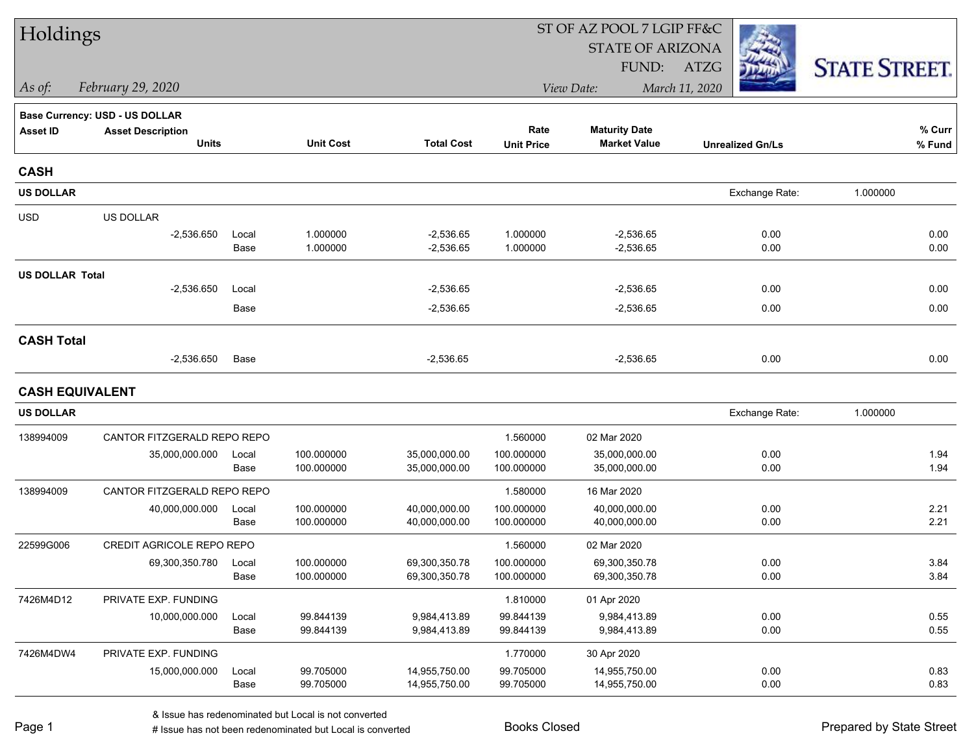| Holdings               |                                          |               |                          |                                |                           | ST OF AZ POOL 7 LGIP FF&C                   |                         |                      |
|------------------------|------------------------------------------|---------------|--------------------------|--------------------------------|---------------------------|---------------------------------------------|-------------------------|----------------------|
|                        |                                          |               |                          |                                |                           | <b>STATE OF ARIZONA</b>                     |                         |                      |
|                        |                                          |               |                          |                                |                           | FUND:                                       | ATZG                    | <b>STATE STREET.</b> |
| As of:                 | February 29, 2020                        |               |                          |                                |                           | View Date:                                  | March 11, 2020          |                      |
|                        | <b>Base Currency: USD - US DOLLAR</b>    |               |                          |                                |                           |                                             |                         |                      |
| <b>Asset ID</b>        | <b>Asset Description</b><br><b>Units</b> |               | <b>Unit Cost</b>         | <b>Total Cost</b>              | Rate<br><b>Unit Price</b> | <b>Maturity Date</b><br><b>Market Value</b> | <b>Unrealized Gn/Ls</b> | % Curr<br>% Fund     |
|                        |                                          |               |                          |                                |                           |                                             |                         |                      |
| <b>CASH</b>            |                                          |               |                          |                                |                           |                                             |                         |                      |
| <b>US DOLLAR</b>       |                                          |               |                          |                                |                           |                                             | Exchange Rate:          | 1.000000             |
| <b>USD</b>             | US DOLLAR                                |               |                          |                                |                           |                                             |                         |                      |
|                        | $-2,536.650$                             | Local         | 1.000000                 | $-2,536.65$                    | 1.000000                  | $-2,536.65$                                 | 0.00                    | 0.00                 |
|                        |                                          | Base          | 1.000000                 | $-2,536.65$                    | 1.000000                  | $-2,536.65$                                 | 0.00                    | 0.00                 |
| <b>US DOLLAR Total</b> |                                          |               |                          |                                |                           |                                             |                         |                      |
|                        | $-2,536.650$                             | Local         |                          | $-2,536.65$                    |                           | $-2,536.65$                                 | 0.00                    | 0.00                 |
|                        |                                          | Base          |                          | $-2,536.65$                    |                           | $-2,536.65$                                 | 0.00                    | 0.00                 |
| <b>CASH Total</b>      |                                          |               |                          |                                |                           |                                             |                         |                      |
|                        | $-2,536.650$                             | Base          |                          | $-2,536.65$                    |                           | $-2,536.65$                                 | 0.00                    | 0.00                 |
| <b>CASH EQUIVALENT</b> |                                          |               |                          |                                |                           |                                             |                         |                      |
| <b>US DOLLAR</b>       |                                          |               |                          |                                |                           |                                             | Exchange Rate:          | 1.000000             |
| 138994009              | CANTOR FITZGERALD REPO REPO              |               |                          |                                | 1.560000                  | 02 Mar 2020                                 |                         |                      |
|                        | 35,000,000.000                           | Local         | 100.000000               | 35,000,000.00                  | 100.000000                | 35,000,000.00                               | 0.00                    | 1.94                 |
|                        |                                          | Base          | 100.000000               | 35,000,000.00                  | 100.000000                | 35,000,000.00                               | 0.00                    | 1.94                 |
| 138994009              | CANTOR FITZGERALD REPO REPO              |               |                          |                                | 1.580000                  | 16 Mar 2020                                 |                         |                      |
|                        | 40,000,000.000                           | Local         | 100.000000               | 40,000,000.00                  | 100.000000                | 40,000,000.00                               | 0.00                    | 2.21                 |
|                        |                                          | Base          | 100.000000               | 40,000,000.00                  | 100.000000                | 40,000,000.00                               | 0.00                    | 2.21                 |
| 22599G006              | <b>CREDIT AGRICOLE REPO REPO</b>         |               |                          |                                | 1.560000                  | 02 Mar 2020                                 |                         |                      |
|                        | 69,300,350.780                           | Local<br>Base | 100.000000<br>100.000000 | 69,300,350.78<br>69,300,350.78 | 100.000000<br>100.000000  | 69,300,350.78<br>69,300,350.78              | 0.00<br>0.00            | 3.84<br>3.84         |
|                        |                                          |               |                          |                                |                           |                                             |                         |                      |
| 7426M4D12              | PRIVATE EXP. FUNDING                     |               |                          |                                | 1.810000                  | 01 Apr 2020                                 | 0.00                    |                      |
|                        | 10,000,000.000                           | Local<br>Base | 99.844139<br>99.844139   | 9,984,413.89<br>9,984,413.89   | 99.844139<br>99.844139    | 9,984,413.89<br>9,984,413.89                | 0.00                    | 0.55<br>0.55         |
| 7426M4DW4              | PRIVATE EXP. FUNDING                     |               |                          |                                | 1.770000                  | 30 Apr 2020                                 |                         |                      |
|                        | 15,000,000.000                           | Local         | 99.705000                | 14,955,750.00                  | 99.705000                 | 14,955,750.00                               | 0.00                    | 0.83                 |
|                        |                                          | Base          | 99.705000                | 14,955,750.00                  | 99.705000                 | 14,955,750.00                               | 0.00                    | 0.83                 |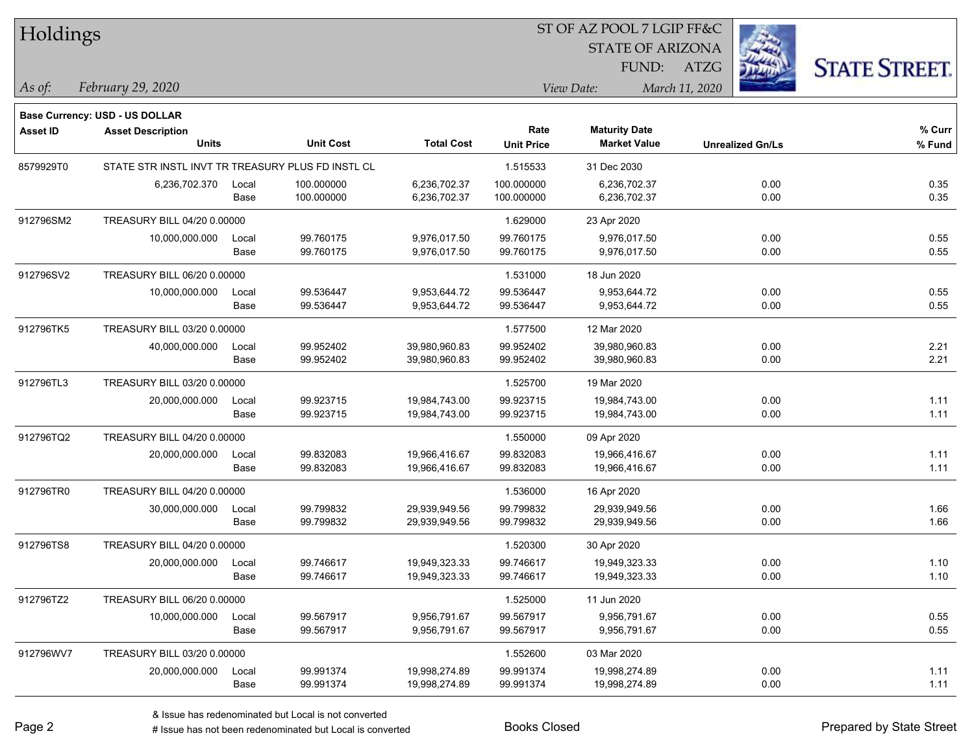| Holdings        |                                                   |       |                  |                   |                           | ST OF AZ POOL 7 LGIP FF&C                   |                         |                      |
|-----------------|---------------------------------------------------|-------|------------------|-------------------|---------------------------|---------------------------------------------|-------------------------|----------------------|
|                 |                                                   |       |                  |                   |                           | <b>STATE OF ARIZONA</b>                     |                         |                      |
|                 |                                                   |       |                  |                   |                           | FUND:                                       | ATZG                    | <b>STATE STREET.</b> |
| As of:          | February 29, 2020                                 |       |                  |                   |                           | View Date:                                  | March 11, 2020          |                      |
|                 | Base Currency: USD - US DOLLAR                    |       |                  |                   |                           |                                             |                         |                      |
| <b>Asset ID</b> | <b>Asset Description</b><br><b>Units</b>          |       | <b>Unit Cost</b> | <b>Total Cost</b> | Rate<br><b>Unit Price</b> | <b>Maturity Date</b><br><b>Market Value</b> | <b>Unrealized Gn/Ls</b> | % Curr<br>% Fund     |
| 8579929T0       | STATE STR INSTL INVT TR TREASURY PLUS FD INSTL CL |       |                  |                   | 1.515533                  | 31 Dec 2030                                 |                         |                      |
|                 | 6,236,702.370                                     | Local | 100.000000       | 6,236,702.37      | 100.000000                | 6,236,702.37                                | 0.00                    | 0.35                 |
|                 |                                                   | Base  | 100.000000       | 6,236,702.37      | 100.000000                | 6,236,702.37                                | 0.00                    | 0.35                 |
| 912796SM2       | TREASURY BILL 04/20 0.00000                       |       |                  |                   | 1.629000                  | 23 Apr 2020                                 |                         |                      |
|                 | 10,000,000.000                                    | Local | 99.760175        | 9,976,017.50      | 99.760175                 | 9,976,017.50                                | 0.00                    | 0.55                 |
|                 |                                                   | Base  | 99.760175        | 9,976,017.50      | 99.760175                 | 9,976,017.50                                | 0.00                    | 0.55                 |
| 912796SV2       | TREASURY BILL 06/20 0.00000                       |       |                  |                   | 1.531000                  | 18 Jun 2020                                 |                         |                      |
|                 | 10,000,000.000                                    | Local | 99.536447        | 9,953,644.72      | 99.536447                 | 9,953,644.72                                | 0.00                    | 0.55                 |
|                 |                                                   | Base  | 99.536447        | 9,953,644.72      | 99.536447                 | 9,953,644.72                                | 0.00                    | 0.55                 |
| 912796TK5       | TREASURY BILL 03/20 0.00000                       |       |                  |                   | 1.577500                  | 12 Mar 2020                                 |                         |                      |
|                 | 40,000,000.000                                    | Local | 99.952402        | 39,980,960.83     | 99.952402                 | 39,980,960.83                               | 0.00                    | 2.21                 |
|                 |                                                   | Base  | 99.952402        | 39,980,960.83     | 99.952402                 | 39,980,960.83                               | 0.00                    | 2.21                 |
| 912796TL3       | TREASURY BILL 03/20 0.00000                       |       |                  |                   | 1.525700                  | 19 Mar 2020                                 |                         |                      |
|                 | 20,000,000.000                                    | Local | 99.923715        | 19,984,743.00     | 99.923715                 | 19,984,743.00                               | 0.00                    | 1.11                 |
|                 |                                                   | Base  | 99.923715        | 19,984,743.00     | 99.923715                 | 19,984,743.00                               | 0.00                    | 1.11                 |
| 912796TQ2       | TREASURY BILL 04/20 0.00000                       |       |                  |                   | 1.550000                  | 09 Apr 2020                                 |                         |                      |
|                 | 20,000,000.000                                    | Local | 99.832083        | 19,966,416.67     | 99.832083                 | 19,966,416.67                               | 0.00                    | 1.11                 |
|                 |                                                   | Base  | 99.832083        | 19,966,416.67     | 99.832083                 | 19,966,416.67                               | 0.00                    | 1.11                 |
| 912796TR0       | TREASURY BILL 04/20 0.00000                       |       |                  |                   | 1.536000                  | 16 Apr 2020                                 |                         |                      |
|                 | 30,000,000.000                                    | Local | 99.799832        | 29,939,949.56     | 99.799832                 | 29,939,949.56                               | 0.00                    | 1.66                 |
|                 |                                                   | Base  | 99.799832        | 29,939,949.56     | 99.799832                 | 29,939,949.56                               | 0.00                    | 1.66                 |
| 912796TS8       | TREASURY BILL 04/20 0.00000                       |       |                  |                   | 1.520300                  | 30 Apr 2020                                 |                         |                      |
|                 | 20,000,000.000 Local                              |       | 99.746617        | 19,949,323.33     | 99.746617                 | 19,949,323.33                               | 0.00                    | 1.10                 |
|                 |                                                   | Base  | 99.746617        | 19,949,323.33     | 99.746617                 | 19,949,323.33                               | 0.00                    | 1.10                 |
| 912796TZ2       | TREASURY BILL 06/20 0.00000                       |       |                  |                   | 1.525000                  | 11 Jun 2020                                 |                         |                      |
|                 | 10,000,000.000                                    | Local | 99.567917        | 9,956,791.67      | 99.567917                 | 9,956,791.67                                | 0.00                    | 0.55                 |
|                 |                                                   | Base  | 99.567917        | 9,956,791.67      | 99.567917                 | 9,956,791.67                                | 0.00                    | 0.55                 |
| 912796WV7       | TREASURY BILL 03/20 0.00000                       |       |                  |                   | 1.552600                  | 03 Mar 2020                                 |                         |                      |
|                 | 20,000,000.000                                    | Local | 99.991374        | 19,998,274.89     | 99.991374                 | 19,998,274.89                               | 0.00                    | 1.11                 |
|                 |                                                   | Base  | 99.991374        | 19,998,274.89     | 99.991374                 | 19,998,274.89                               | 0.00                    | 1.11                 |

 $\overline{\phantom{0}}$ 

 $\overline{\phantom{a}}$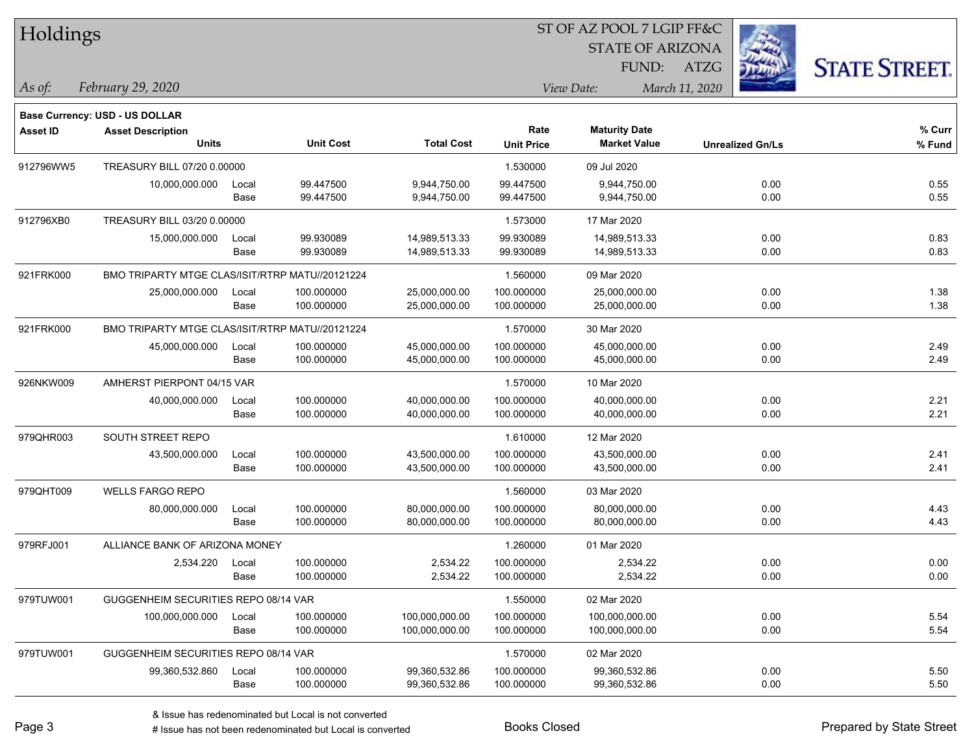| Holdings        |                                                 |       |                  |                   |                           | ST OF AZ POOL 7 LGIP FF&C                   |                         |                      |
|-----------------|-------------------------------------------------|-------|------------------|-------------------|---------------------------|---------------------------------------------|-------------------------|----------------------|
|                 |                                                 |       |                  |                   |                           | <b>STATE OF ARIZONA</b>                     |                         |                      |
|                 |                                                 |       |                  |                   |                           | FUND:                                       | ATZG                    | <b>STATE STREET.</b> |
| $\vert$ As of:  | February 29, 2020                               |       |                  |                   |                           | View Date:                                  | March 11, 2020          |                      |
|                 |                                                 |       |                  |                   |                           |                                             |                         |                      |
|                 | Base Currency: USD - US DOLLAR                  |       |                  |                   |                           |                                             |                         |                      |
| <b>Asset ID</b> | <b>Asset Description</b><br><b>Units</b>        |       | <b>Unit Cost</b> | <b>Total Cost</b> | Rate<br><b>Unit Price</b> | <b>Maturity Date</b><br><b>Market Value</b> | <b>Unrealized Gn/Ls</b> | % Curr<br>$%$ Fund   |
| 912796WW5       | TREASURY BILL 07/20 0.00000                     |       |                  |                   | 1.530000                  | 09 Jul 2020                                 |                         |                      |
|                 | 10,000,000.000                                  | Local | 99.447500        | 9,944,750.00      | 99.447500                 | 9,944,750.00                                | 0.00                    | 0.55                 |
|                 |                                                 | Base  | 99.447500        | 9,944,750.00      | 99.447500                 | 9,944,750.00                                | 0.00                    | 0.55                 |
| 912796XB0       | TREASURY BILL 03/20 0.00000                     |       |                  |                   | 1.573000                  | 17 Mar 2020                                 |                         |                      |
|                 | 15,000,000.000                                  | Local | 99.930089        | 14,989,513.33     | 99.930089                 | 14,989,513.33                               | 0.00                    | 0.83                 |
|                 |                                                 | Base  | 99.930089        | 14,989,513.33     | 99.930089                 | 14,989,513.33                               | 0.00                    | 0.83                 |
| 921FRK000       | BMO TRIPARTY MTGE CLAS/ISIT/RTRP MATU//20121224 |       |                  |                   | 1.560000                  | 09 Mar 2020                                 |                         |                      |
|                 | 25,000,000.000                                  | Local | 100.000000       | 25,000,000.00     | 100.000000                | 25,000,000.00                               | 0.00                    | 1.38                 |
|                 |                                                 | Base  | 100.000000       | 25,000,000.00     | 100.000000                | 25,000,000.00                               | 0.00                    | 1.38                 |
| 921FRK000       | BMO TRIPARTY MTGE CLAS/ISIT/RTRP MATU//20121224 |       |                  |                   | 1.570000                  | 30 Mar 2020                                 |                         |                      |
|                 | 45,000,000.000                                  | Local | 100.000000       | 45,000,000.00     | 100.000000                | 45,000,000.00                               | 0.00                    | 2.49                 |
|                 |                                                 | Base  | 100.000000       | 45,000,000.00     | 100.000000                | 45,000,000.00                               | 0.00                    | 2.49                 |
| 926NKW009       | AMHERST PIERPONT 04/15 VAR                      |       |                  |                   | 1.570000                  | 10 Mar 2020                                 |                         |                      |
|                 | 40,000,000.000                                  | Local | 100.000000       | 40,000,000.00     | 100.000000                | 40,000,000.00                               | 0.00                    | 2.21                 |
|                 |                                                 | Base  | 100.000000       | 40,000,000.00     | 100.000000                | 40,000,000.00                               | 0.00                    | 2.21                 |
| 979QHR003       | SOUTH STREET REPO                               |       |                  |                   | 1.610000                  | 12 Mar 2020                                 |                         |                      |
|                 | 43,500,000.000                                  | Local | 100.000000       | 43,500,000.00     | 100.000000                | 43,500,000.00                               | 0.00                    | 2.41                 |
|                 |                                                 | Base  | 100.000000       | 43,500,000.00     | 100.000000                | 43,500,000.00                               | 0.00                    | 2.41                 |
| 979QHT009       | <b>WELLS FARGO REPO</b>                         |       |                  |                   | 1.560000                  | 03 Mar 2020                                 |                         |                      |
|                 | 80,000,000.000                                  | Local | 100.000000       | 80,000,000.00     | 100.000000                | 80,000,000.00                               | 0.00                    | 4.43                 |
|                 |                                                 | Base  | 100.000000       | 80,000,000.00     | 100.000000                | 80,000,000.00                               | 0.00                    | 4.43                 |
| 979RFJ001       | ALLIANCE BANK OF ARIZONA MONEY                  |       |                  |                   | 1.260000                  | 01 Mar 2020                                 |                         |                      |
|                 | 2,534.220 Local                                 |       | 100.000000       | 2,534.22          | 100.000000                | 2,534.22                                    | 0.00                    | 0.00                 |
|                 |                                                 | Base  | 100.000000       | 2,534.22          | 100.000000                | 2,534.22                                    | 0.00                    | 0.00                 |
| 979TUW001       | GUGGENHEIM SECURITIES REPO 08/14 VAR            |       |                  |                   | 1.550000                  | 02 Mar 2020                                 |                         |                      |
|                 | 100,000,000.000                                 | Local | 100.000000       | 100,000,000.00    | 100.000000                | 100,000,000.00                              | 0.00                    | 5.54                 |
|                 |                                                 | Base  | 100.000000       | 100,000,000.00    | 100.000000                | 100,000,000.00                              | 0.00                    | 5.54                 |
| 979TUW001       | GUGGENHEIM SECURITIES REPO 08/14 VAR            |       |                  |                   | 1.570000                  | 02 Mar 2020                                 |                         |                      |
|                 | 99,360,532.860                                  | Local | 100.000000       | 99,360,532.86     | 100.000000                | 99,360,532.86                               | 0.00                    | 5.50                 |
|                 |                                                 | Base  | 100.000000       | 99,360,532.86     | 100.000000                | 99,360,532.86                               | 0.00                    | 5.50                 |

denote the redenominated but Local is converted Books Closed Prepared by State Street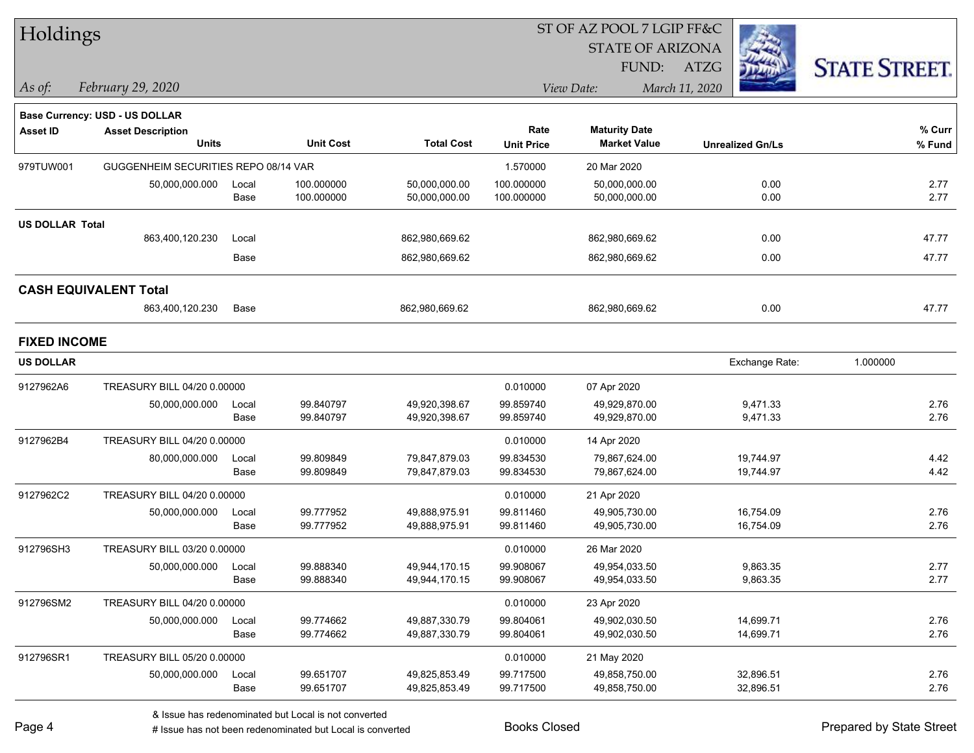| Holdings               |                                       |       |                  |                   |                   | ST OF AZ POOL 7 LGIP FF&C |                         |                      |
|------------------------|---------------------------------------|-------|------------------|-------------------|-------------------|---------------------------|-------------------------|----------------------|
|                        |                                       |       |                  |                   |                   | <b>STATE OF ARIZONA</b>   |                         |                      |
|                        |                                       |       |                  |                   |                   | FUND:                     | <b>ATZG</b>             | <b>STATE STREET.</b> |
| $\vert$ As of:         | February 29, 2020                     |       |                  |                   |                   | View Date:                | March 11, 2020          |                      |
|                        | <b>Base Currency: USD - US DOLLAR</b> |       |                  |                   |                   |                           |                         |                      |
| <b>Asset ID</b>        | <b>Asset Description</b>              |       |                  |                   | Rate              | <b>Maturity Date</b>      |                         | % Curr               |
|                        | <b>Units</b>                          |       | <b>Unit Cost</b> | <b>Total Cost</b> | <b>Unit Price</b> | <b>Market Value</b>       | <b>Unrealized Gn/Ls</b> | % Fund               |
| 979TUW001              | GUGGENHEIM SECURITIES REPO 08/14 VAR  |       |                  |                   | 1.570000          | 20 Mar 2020               |                         |                      |
|                        | 50,000,000.000                        | Local | 100.000000       | 50,000,000.00     | 100.000000        | 50,000,000.00             | 0.00                    | 2.77                 |
|                        |                                       | Base  | 100.000000       | 50,000,000.00     | 100.000000        | 50,000,000.00             | 0.00                    | 2.77                 |
| <b>US DOLLAR Total</b> |                                       |       |                  |                   |                   |                           |                         |                      |
|                        | 863,400,120.230                       | Local |                  | 862,980,669.62    |                   | 862,980,669.62            | 0.00                    | 47.77                |
|                        |                                       | Base  |                  | 862,980,669.62    |                   | 862,980,669.62            | 0.00                    | 47.77                |
|                        | <b>CASH EQUIVALENT Total</b>          |       |                  |                   |                   |                           |                         |                      |
|                        | 863,400,120.230                       | Base  |                  | 862,980,669.62    |                   | 862,980,669.62            | 0.00                    | 47.77                |
| <b>FIXED INCOME</b>    |                                       |       |                  |                   |                   |                           |                         |                      |
| <b>US DOLLAR</b>       |                                       |       |                  |                   |                   |                           | Exchange Rate:          | 1.000000             |
| 9127962A6              | TREASURY BILL 04/20 0.00000           |       |                  |                   | 0.010000          | 07 Apr 2020               |                         |                      |
|                        | 50,000,000.000                        | Local | 99.840797        | 49,920,398.67     | 99.859740         | 49,929,870.00             | 9,471.33                | 2.76                 |
|                        |                                       | Base  | 99.840797        | 49,920,398.67     | 99.859740         | 49,929,870.00             | 9,471.33                | 2.76                 |
| 9127962B4              | TREASURY BILL 04/20 0.00000           |       |                  |                   | 0.010000          | 14 Apr 2020               |                         |                      |
|                        | 80,000,000.000                        | Local | 99.809849        | 79,847,879.03     | 99.834530         | 79,867,624.00             | 19,744.97               | 4.42                 |
|                        |                                       | Base  | 99.809849        | 79,847,879.03     | 99.834530         | 79,867,624.00             | 19,744.97               | 4.42                 |
| 9127962C2              | TREASURY BILL 04/20 0.00000           |       |                  |                   | 0.010000          | 21 Apr 2020               |                         |                      |
|                        | 50,000,000.000                        | Local | 99.777952        | 49,888,975.91     | 99.811460         | 49,905,730.00             | 16,754.09               | 2.76                 |
|                        |                                       | Base  | 99.777952        | 49,888,975.91     | 99.811460         | 49,905,730.00             | 16,754.09               | 2.76                 |
| 912796SH3              | TREASURY BILL 03/20 0.00000           |       |                  |                   | 0.010000          | 26 Mar 2020               |                         |                      |
|                        | 50,000,000.000                        | Local | 99.888340        | 49,944,170.15     | 99.908067         | 49,954,033.50             | 9,863.35                | 2.77                 |
|                        |                                       | Base  | 99.888340        | 49,944,170.15     | 99.908067         | 49,954,033.50             | 9,863.35                | 2.77                 |
| 912796SM2              | TREASURY BILL 04/20 0.00000           |       |                  |                   | 0.010000          | 23 Apr 2020               |                         |                      |
|                        | 50,000,000.000                        | Local | 99.774662        | 49,887,330.79     | 99.804061         | 49,902,030.50             | 14,699.71               | 2.76                 |
|                        |                                       | Base  | 99.774662        | 49,887,330.79     | 99.804061         | 49,902,030.50             | 14,699.71               | 2.76                 |
| 912796SR1              | TREASURY BILL 05/20 0.00000           |       |                  |                   | 0.010000          | 21 May 2020               |                         |                      |
|                        | 50,000,000.000                        | Local | 99.651707        | 49,825,853.49     | 99.717500         | 49,858,750.00             | 32,896.51               | 2.76                 |
|                        |                                       | Base  | 99.651707        | 49,825,853.49     | 99.717500         | 49,858,750.00             | 32,896.51               | 2.76                 |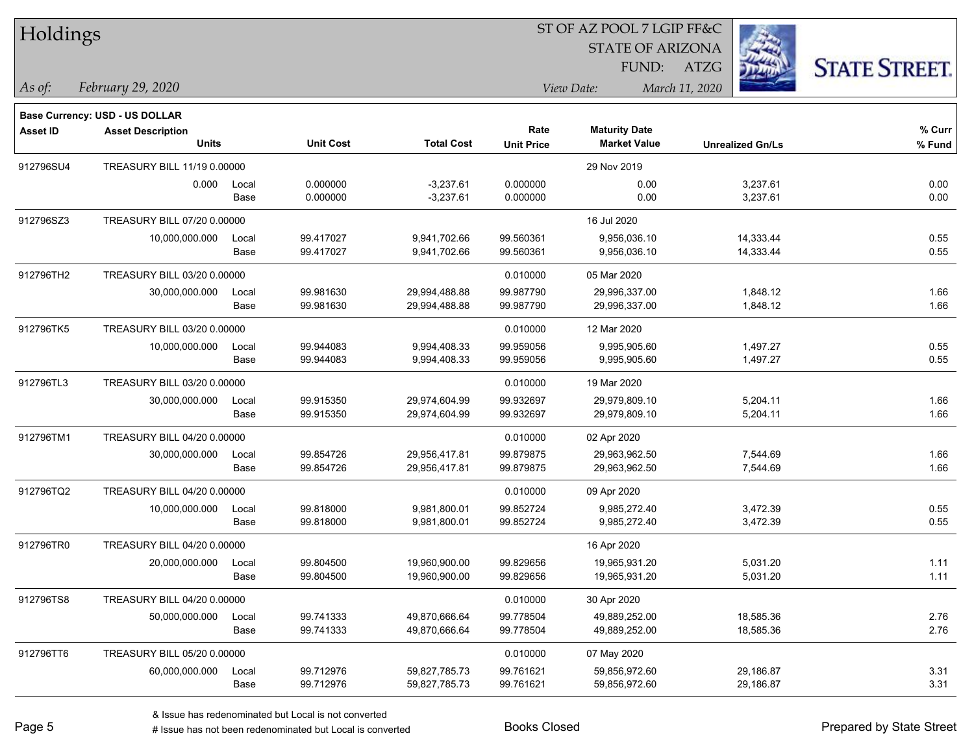| Holdings        |                                       |       |                  |                   |                              | ST OF AZ POOL 7 LGIP FF&C |                         |                      |
|-----------------|---------------------------------------|-------|------------------|-------------------|------------------------------|---------------------------|-------------------------|----------------------|
|                 |                                       |       |                  |                   |                              | <b>STATE OF ARIZONA</b>   |                         |                      |
|                 |                                       |       |                  |                   |                              | FUND:                     | <b>ATZG</b>             | <b>STATE STREET.</b> |
| $\vert$ As of:  | February 29, 2020                     |       |                  |                   | View Date:<br>March 11, 2020 |                           |                         |                      |
|                 | <b>Base Currency: USD - US DOLLAR</b> |       |                  |                   |                              |                           |                         |                      |
| <b>Asset ID</b> | <b>Asset Description</b>              |       |                  |                   | Rate                         | <b>Maturity Date</b>      |                         | % Curr               |
|                 | <b>Units</b>                          |       | <b>Unit Cost</b> | <b>Total Cost</b> | <b>Unit Price</b>            | <b>Market Value</b>       | <b>Unrealized Gn/Ls</b> | % Fund               |
| 912796SU4       | TREASURY BILL 11/19 0.00000           |       |                  |                   |                              | 29 Nov 2019               |                         |                      |
|                 | 0.000                                 | Local | 0.000000         | $-3,237.61$       | 0.000000                     | 0.00                      | 3,237.61                | 0.00                 |
|                 |                                       | Base  | 0.000000         | $-3,237.61$       | 0.000000                     | 0.00                      | 3,237.61                | 0.00                 |
| 912796SZ3       | TREASURY BILL 07/20 0.00000           |       |                  |                   |                              | 16 Jul 2020               |                         |                      |
|                 | 10,000,000.000                        | Local | 99.417027        | 9,941,702.66      | 99.560361                    | 9,956,036.10              | 14,333.44               | 0.55                 |
|                 |                                       | Base  | 99.417027        | 9,941,702.66      | 99.560361                    | 9,956,036.10              | 14,333.44               | 0.55                 |
| 912796TH2       | TREASURY BILL 03/20 0.00000           |       |                  |                   | 0.010000                     | 05 Mar 2020               |                         |                      |
|                 | 30,000,000.000                        | Local | 99.981630        | 29,994,488.88     | 99.987790                    | 29,996,337.00             | 1,848.12                | 1.66                 |
|                 |                                       | Base  | 99.981630        | 29,994,488.88     | 99.987790                    | 29,996,337.00             | 1,848.12                | 1.66                 |
| 912796TK5       | TREASURY BILL 03/20 0.00000           |       |                  |                   | 0.010000                     | 12 Mar 2020               |                         |                      |
|                 | 10,000,000.000                        | Local | 99.944083        | 9,994,408.33      | 99.959056                    | 9,995,905.60              | 1,497.27                | 0.55                 |
|                 |                                       | Base  | 99.944083        | 9,994,408.33      | 99.959056                    | 9,995,905.60              | 1,497.27                | 0.55                 |
| 912796TL3       | TREASURY BILL 03/20 0.00000           |       |                  |                   | 0.010000                     | 19 Mar 2020               |                         |                      |
|                 | 30,000,000.000                        | Local | 99.915350        | 29,974,604.99     | 99.932697                    | 29,979,809.10             | 5,204.11                | 1.66                 |
|                 |                                       | Base  | 99.915350        | 29,974,604.99     | 99.932697                    | 29,979,809.10             | 5,204.11                | 1.66                 |
| 912796TM1       | TREASURY BILL 04/20 0.00000           |       |                  |                   | 0.010000                     | 02 Apr 2020               |                         |                      |
|                 | 30,000,000.000                        | Local | 99.854726        | 29,956,417.81     | 99.879875                    | 29,963,962.50             | 7,544.69                | 1.66                 |
|                 |                                       | Base  | 99.854726        | 29,956,417.81     | 99.879875                    | 29,963,962.50             | 7,544.69                | 1.66                 |
| 912796TQ2       | TREASURY BILL 04/20 0.00000           |       |                  |                   | 0.010000                     | 09 Apr 2020               |                         |                      |
|                 | 10,000,000.000                        | Local | 99.818000        | 9,981,800.01      | 99.852724                    | 9,985,272.40              | 3,472.39                | 0.55                 |
|                 |                                       | Base  | 99.818000        | 9,981,800.01      | 99.852724                    | 9,985,272.40              | 3,472.39                | 0.55                 |
| 912796TR0       | TREASURY BILL 04/20 0.00000           |       |                  |                   |                              | 16 Apr 2020               |                         |                      |
|                 | 20,000,000.000                        | Local | 99.804500        | 19,960,900.00     | 99.829656                    | 19,965,931.20             | 5,031.20                | 1.11                 |
|                 |                                       | Base  | 99.804500        | 19,960,900.00     | 99.829656                    | 19,965,931.20             | 5,031.20                | 1.11                 |
| 912796TS8       | TREASURY BILL 04/20 0.00000           |       |                  |                   | 0.010000                     | 30 Apr 2020               |                         |                      |
|                 | 50,000,000.000                        | Local | 99.741333        | 49,870,666.64     | 99.778504                    | 49,889,252.00             | 18,585.36               | 2.76                 |
|                 |                                       | Base  | 99.741333        | 49,870,666.64     | 99.778504                    | 49,889,252.00             | 18,585.36               | 2.76                 |
| 912796TT6       | TREASURY BILL 05/20 0.00000           |       |                  |                   | 0.010000                     | 07 May 2020               |                         |                      |
|                 | 60,000,000.000                        | Local | 99.712976        | 59,827,785.73     | 99.761621                    | 59,856,972.60             | 29,186.87               | 3.31                 |
|                 |                                       | Base  | 99.712976        | 59,827,785.73     | 99.761621                    | 59,856,972.60             | 29,186.87               | 3.31                 |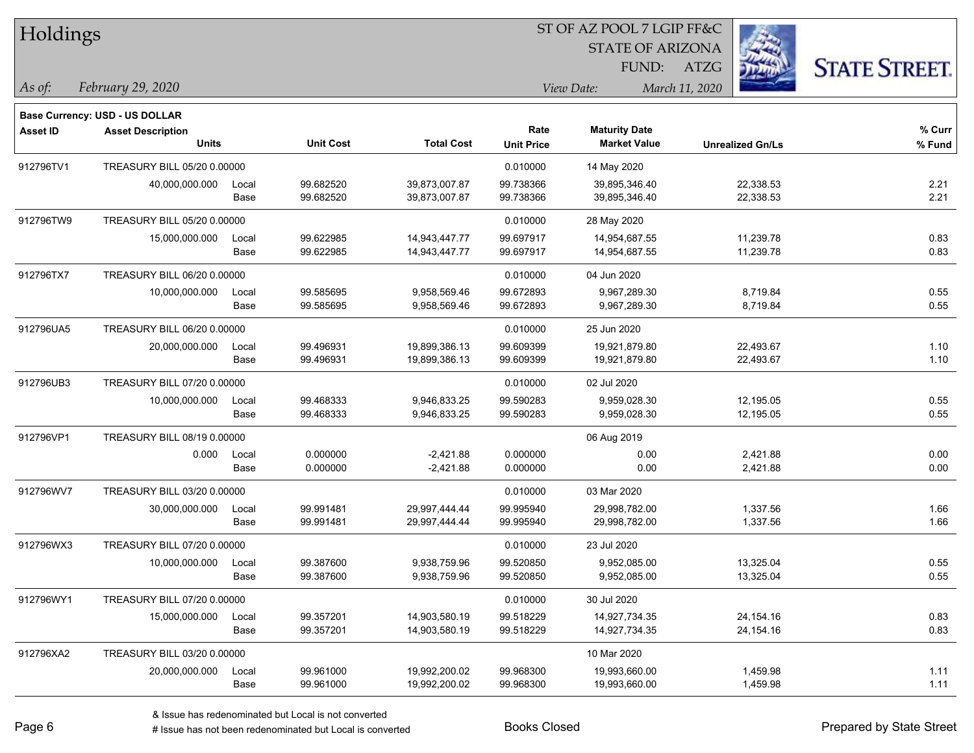| Holdings        |                                       |       |                  |                   |                   | ST OF AZ POOL 7 LGIP FF&C |                         |                      |
|-----------------|---------------------------------------|-------|------------------|-------------------|-------------------|---------------------------|-------------------------|----------------------|
|                 |                                       |       |                  |                   |                   | <b>STATE OF ARIZONA</b>   |                         |                      |
|                 |                                       |       |                  |                   |                   | FUND:                     | <b>ATZG</b>             | <b>STATE STREET.</b> |
| As of:          | February 29, 2020                     |       |                  |                   |                   | View Date:                | March 11, 2020          |                      |
|                 | <b>Base Currency: USD - US DOLLAR</b> |       |                  |                   |                   |                           |                         |                      |
| <b>Asset ID</b> | <b>Asset Description</b>              |       |                  |                   | Rate              | <b>Maturity Date</b>      |                         | % Curr               |
|                 | <b>Units</b>                          |       | <b>Unit Cost</b> | <b>Total Cost</b> | <b>Unit Price</b> | <b>Market Value</b>       | <b>Unrealized Gn/Ls</b> | % Fund               |
| 912796TV1       | TREASURY BILL 05/20 0.00000           |       |                  |                   | 0.010000          | 14 May 2020               |                         |                      |
|                 | 40,000,000.000                        | Local | 99.682520        | 39,873,007.87     | 99.738366         | 39,895,346.40             | 22,338.53               | 2.21                 |
|                 |                                       | Base  | 99.682520        | 39,873,007.87     | 99.738366         | 39,895,346.40             | 22,338.53               | 2.21                 |
| 912796TW9       | TREASURY BILL 05/20 0.00000           |       |                  |                   | 0.010000          | 28 May 2020               |                         |                      |
|                 | 15,000,000.000                        | Local | 99.622985        | 14,943,447.77     | 99.697917         | 14,954,687.55             | 11,239.78               | 0.83                 |
|                 |                                       | Base  | 99.622985        | 14,943,447.77     | 99.697917         | 14,954,687.55             | 11,239.78               | 0.83                 |
| 912796TX7       | TREASURY BILL 06/20 0.00000           |       |                  |                   | 0.010000          | 04 Jun 2020               |                         |                      |
|                 | 10,000,000.000                        | Local | 99.585695        | 9,958,569.46      | 99.672893         | 9,967,289.30              | 8,719.84                | 0.55                 |
|                 |                                       | Base  | 99.585695        | 9,958,569.46      | 99.672893         | 9,967,289.30              | 8,719.84                | 0.55                 |
| 912796UA5       | TREASURY BILL 06/20 0.00000           |       |                  |                   | 0.010000          | 25 Jun 2020               |                         |                      |
|                 | 20,000,000.000                        | Local | 99.496931        | 19,899,386.13     | 99.609399         | 19,921,879.80             | 22,493.67               | 1.10                 |
|                 |                                       | Base  | 99.496931        | 19,899,386.13     | 99.609399         | 19,921,879.80             | 22,493.67               | 1.10                 |
| 912796UB3       | TREASURY BILL 07/20 0.00000           |       |                  |                   | 0.010000          | 02 Jul 2020               |                         |                      |
|                 | 10,000,000.000                        | Local | 99.468333        | 9,946,833.25      | 99.590283         | 9,959,028.30              | 12,195.05               | 0.55                 |
|                 |                                       | Base  | 99.468333        | 9,946,833.25      | 99.590283         | 9,959,028.30              | 12,195.05               | 0.55                 |
| 912796VP1       | TREASURY BILL 08/19 0.00000           |       |                  |                   |                   | 06 Aug 2019               |                         |                      |
|                 | 0.000                                 | Local | 0.000000         | $-2,421.88$       | 0.000000          | 0.00                      | 2,421.88                | 0.00                 |
|                 |                                       | Base  | 0.000000         | $-2,421.88$       | 0.000000          | 0.00                      | 2,421.88                | 0.00                 |
| 912796WV7       | TREASURY BILL 03/20 0.00000           |       |                  |                   | 0.010000          | 03 Mar 2020               |                         |                      |
|                 | 30,000,000.000                        | Local | 99.991481        | 29,997,444.44     | 99.995940         | 29,998,782.00             | 1,337.56                | 1.66                 |
|                 |                                       | Base  | 99.991481        | 29,997,444.44     | 99.995940         | 29,998,782.00             | 1,337.56                | 1.66                 |
| 912796WX3       | TREASURY BILL 07/20 0.00000           |       |                  |                   | 0.010000          | 23 Jul 2020               |                         |                      |
|                 | 10,000,000.000                        | Local | 99.387600        | 9,938,759.96      | 99.520850         | 9,952,085.00              | 13,325.04               | 0.55                 |
|                 |                                       | Base  | 99.387600        | 9,938,759.96      | 99.520850         | 9,952,085.00              | 13,325.04               | 0.55                 |
| 912796WY1       | TREASURY BILL 07/20 0.00000           |       |                  |                   | 0.010000          | 30 Jul 2020               |                         |                      |
|                 | 15,000,000.000                        | Local | 99.357201        | 14,903,580.19     | 99.518229         | 14,927,734.35             | 24, 154. 16             | 0.83                 |
|                 |                                       | Base  | 99.357201        | 14,903,580.19     | 99.518229         | 14,927,734.35             | 24, 154. 16             | 0.83                 |
| 912796XA2       | TREASURY BILL 03/20 0.00000           |       |                  |                   |                   | 10 Mar 2020               |                         |                      |
|                 | 20,000,000.000                        | Local | 99.961000        | 19,992,200.02     | 99.968300         | 19,993,660.00             | 1,459.98                | 1.11                 |
|                 |                                       | Base  | 99.961000        | 19,992,200.02     | 99.968300         | 19,993,660.00             | 1,459.98                | 1.11                 |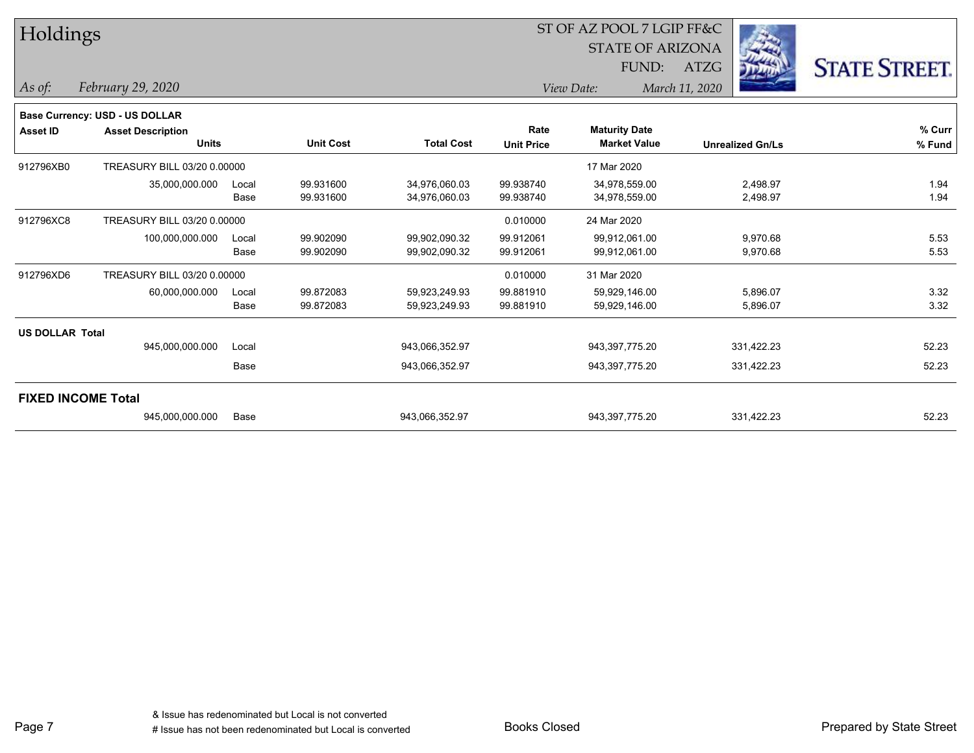| Holdings                  |                                |       |                  |                   |                   | ST OF AZ POOL 7 LGIP FF&C |                         |            |                      |
|---------------------------|--------------------------------|-------|------------------|-------------------|-------------------|---------------------------|-------------------------|------------|----------------------|
|                           |                                |       |                  |                   |                   | <b>STATE OF ARIZONA</b>   |                         |            |                      |
|                           |                                |       |                  |                   |                   | FUND:                     | ATZG                    |            | <b>STATE STREET.</b> |
| As of:                    | February 29, 2020              |       |                  |                   |                   | View Date:                | March 11, 2020          |            |                      |
|                           | Base Currency: USD - US DOLLAR |       |                  |                   |                   |                           |                         |            |                      |
| <b>Asset ID</b>           | <b>Asset Description</b>       |       |                  |                   | Rate              | <b>Maturity Date</b>      |                         |            | % Curr               |
|                           | <b>Units</b>                   |       | <b>Unit Cost</b> | <b>Total Cost</b> | <b>Unit Price</b> | <b>Market Value</b>       | <b>Unrealized Gn/Ls</b> |            | % Fund               |
| 912796XB0                 | TREASURY BILL 03/20 0.00000    |       |                  |                   |                   | 17 Mar 2020               |                         |            |                      |
|                           | 35,000,000.000                 | Local | 99.931600        | 34,976,060.03     | 99.938740         | 34,978,559.00             |                         | 2,498.97   | 1.94                 |
|                           |                                | Base  | 99.931600        | 34,976,060.03     | 99.938740         | 34,978,559.00             |                         | 2,498.97   | 1.94                 |
| 912796XC8                 | TREASURY BILL 03/20 0.00000    |       |                  |                   | 0.010000          | 24 Mar 2020               |                         |            |                      |
|                           | 100,000,000.000                | Local | 99.902090        | 99,902,090.32     | 99.912061         | 99,912,061.00             |                         | 9,970.68   | 5.53                 |
|                           |                                | Base  | 99.902090        | 99,902,090.32     | 99.912061         | 99,912,061.00             |                         | 9,970.68   | 5.53                 |
| 912796XD6                 | TREASURY BILL 03/20 0.00000    |       |                  |                   | 0.010000          | 31 Mar 2020               |                         |            |                      |
|                           | 60,000,000.000                 | Local | 99.872083        | 59,923,249.93     | 99.881910         | 59,929,146.00             |                         | 5,896.07   | 3.32                 |
|                           |                                | Base  | 99.872083        | 59,923,249.93     | 99.881910         | 59,929,146.00             |                         | 5,896.07   | 3.32                 |
| <b>US DOLLAR Total</b>    |                                |       |                  |                   |                   |                           |                         |            |                      |
|                           | 945,000,000.000                | Local |                  | 943,066,352.97    |                   | 943,397,775.20            |                         | 331,422.23 | 52.23                |
|                           |                                | Base  |                  | 943,066,352.97    |                   | 943,397,775.20            |                         | 331,422.23 | 52.23                |
| <b>FIXED INCOME Total</b> |                                |       |                  |                   |                   |                           |                         |            |                      |
|                           | 945,000,000.000                | Base  |                  | 943,066,352.97    |                   | 943,397,775.20            |                         | 331,422.23 | 52.23                |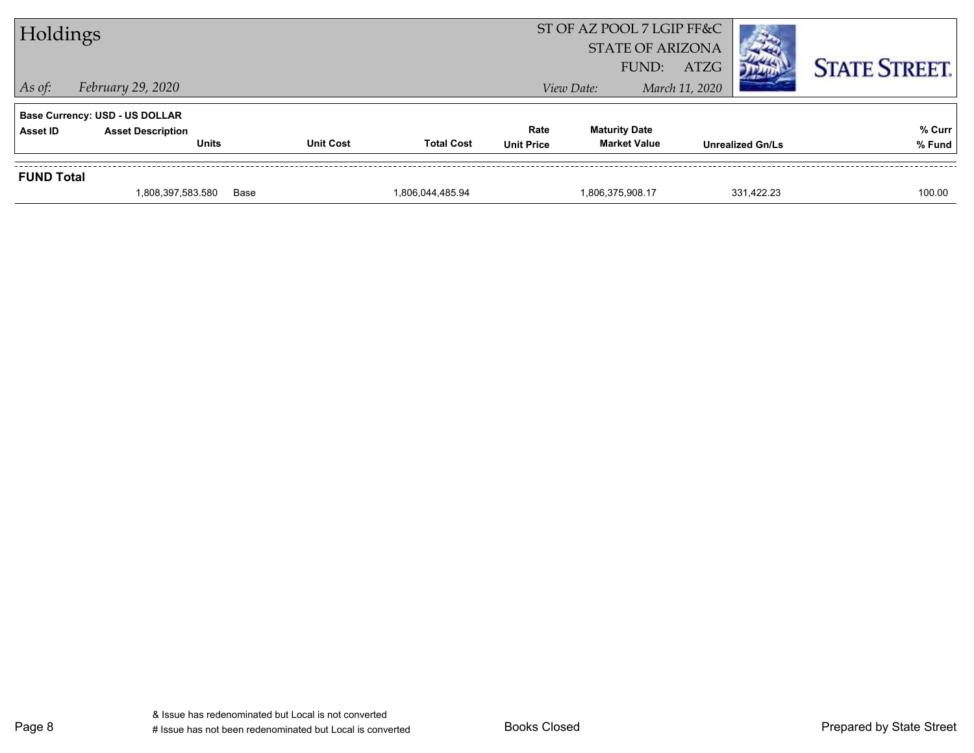|                   | 1,808,397,583.580                        | Base             | 1,806,044,485.94  |                           | 1,806,375,908.17                            | 331.422.23              | 100.00               |
|-------------------|------------------------------------------|------------------|-------------------|---------------------------|---------------------------------------------|-------------------------|----------------------|
| <b>FUND Total</b> |                                          |                  |                   |                           |                                             |                         |                      |
| Asset ID          | <b>Asset Description</b><br><b>Units</b> | <b>Unit Cost</b> | <b>Total Cost</b> | Rate<br><b>Unit Price</b> | <b>Maturity Date</b><br><b>Market Value</b> | <b>Unrealized Gn/Ls</b> | % Curr<br>% Fund     |
|                   | <b>Base Currency: USD - US DOLLAR</b>    |                  |                   |                           |                                             |                         |                      |
| $\vert$ As of:    | February 29, 2020                        |                  |                   |                           | View Date:                                  | March 11, 2020          |                      |
|                   |                                          |                  |                   |                           | FUND:                                       | <b>ATZG</b>             | <b>STATE STREET.</b> |
| Holdings          |                                          |                  |                   |                           | <b>STATE OF ARIZONA</b>                     |                         |                      |
|                   |                                          |                  |                   | ST OF AZ POOL 7 LGIP FF&C |                                             |                         |                      |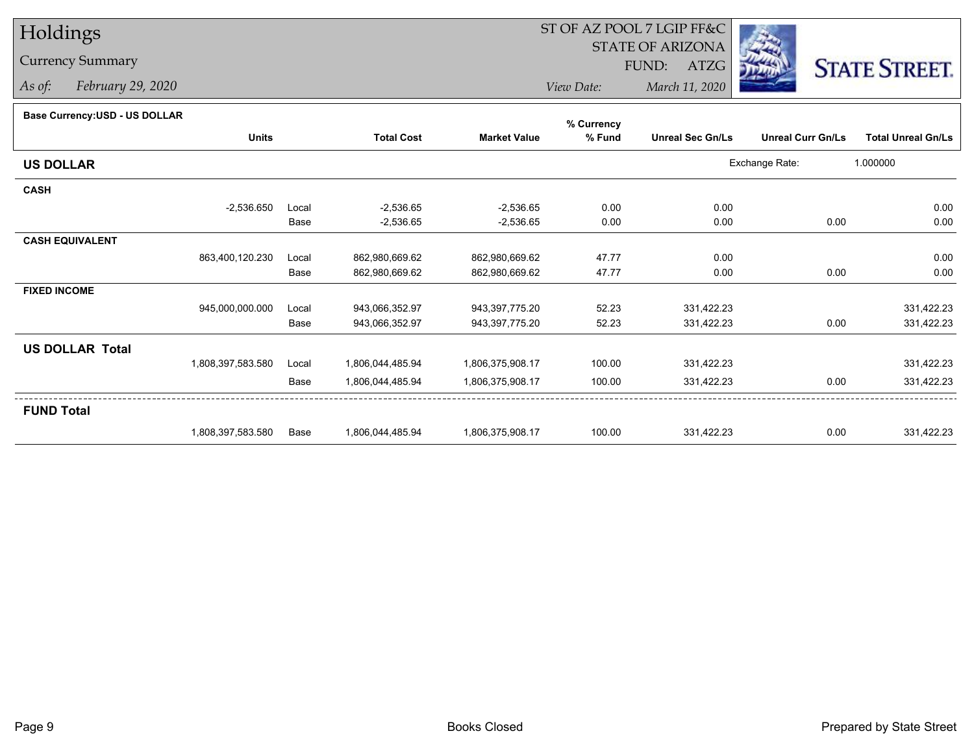## Holdings

## Currency Summary

*As of: February 29, 2020*

## ST OF AZ POOL 7 LGIP FF&C

STATE OF ARIZONA

FUND: ATZG



*View Date:March 11, 2020*

## **Base Currency:USD - US DOLLAR**

|                        |                   |       |                   |                     | % Currency |                         |                          |                           |
|------------------------|-------------------|-------|-------------------|---------------------|------------|-------------------------|--------------------------|---------------------------|
|                        | <b>Units</b>      |       | <b>Total Cost</b> | <b>Market Value</b> | % Fund     | <b>Unreal Sec Gn/Ls</b> | <b>Unreal Curr Gn/Ls</b> | <b>Total Unreal Gn/Ls</b> |
| <b>US DOLLAR</b>       |                   |       |                   |                     |            |                         | Exchange Rate:           | 1.000000                  |
| <b>CASH</b>            |                   |       |                   |                     |            |                         |                          |                           |
|                        | $-2,536.650$      | Local | $-2,536.65$       | $-2,536.65$         | 0.00       | 0.00                    |                          | 0.00                      |
|                        |                   | Base  | $-2,536.65$       | $-2,536.65$         | 0.00       | 0.00                    | 0.00                     | 0.00                      |
| <b>CASH EQUIVALENT</b> |                   |       |                   |                     |            |                         |                          |                           |
|                        | 863,400,120.230   | Local | 862,980,669.62    | 862,980,669.62      | 47.77      | 0.00                    |                          | 0.00                      |
|                        |                   | Base  | 862,980,669.62    | 862,980,669.62      | 47.77      | 0.00                    | 0.00                     | 0.00                      |
| <b>FIXED INCOME</b>    |                   |       |                   |                     |            |                         |                          |                           |
|                        | 945,000,000.000   | Local | 943,066,352.97    | 943,397,775.20      | 52.23      | 331,422.23              |                          | 331,422.23                |
|                        |                   | Base  | 943,066,352.97    | 943,397,775.20      | 52.23      | 331,422.23              | 0.00                     | 331,422.23                |
| <b>US DOLLAR Total</b> |                   |       |                   |                     |            |                         |                          |                           |
|                        | 1,808,397,583.580 | Local | 1,806,044,485.94  | 1,806,375,908.17    | 100.00     | 331,422.23              |                          | 331,422.23                |
|                        |                   | Base  | 1,806,044,485.94  | 1,806,375,908.17    | 100.00     | 331,422.23              | 0.00                     | 331,422.23                |
| <b>FUND Total</b>      |                   |       |                   |                     |            |                         |                          |                           |
|                        | 1,808,397,583.580 | Base  | 1,806,044,485.94  | 1,806,375,908.17    | 100.00     | 331,422.23              | 0.00                     | 331,422.23                |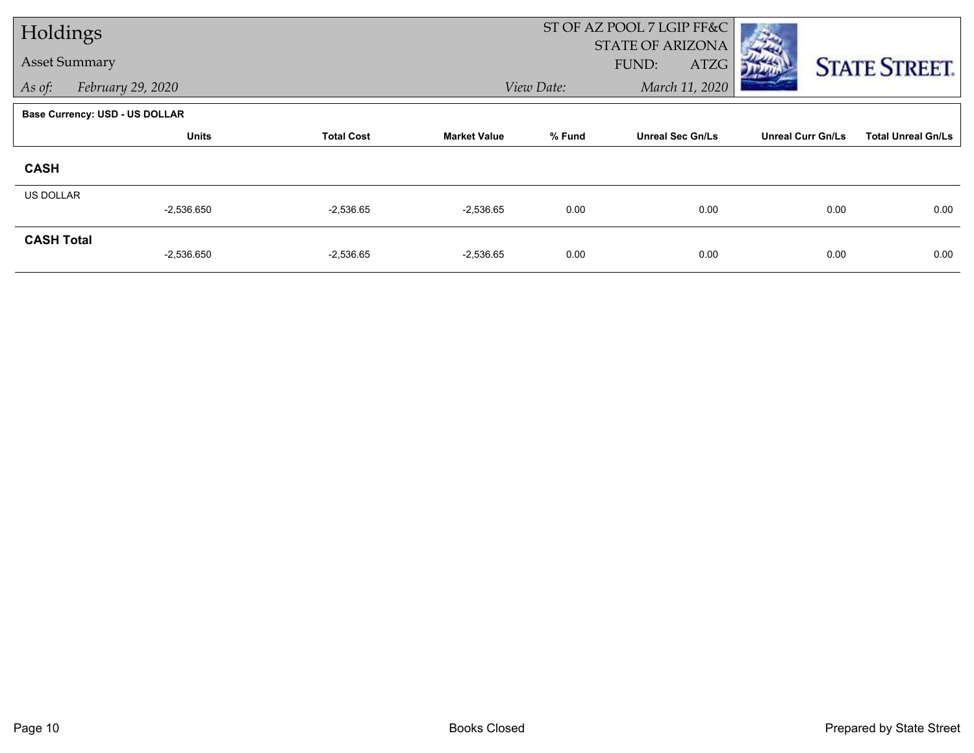| Holdings             |                                       |                   |                     |            | ST OF AZ POOL 7 LGIP FF&C                |                          |                           |
|----------------------|---------------------------------------|-------------------|---------------------|------------|------------------------------------------|--------------------------|---------------------------|
| <b>Asset Summary</b> |                                       |                   |                     |            | <b>STATE OF ARIZONA</b><br>FUND:<br>ATZG |                          | <b>STATE STREET.</b>      |
| As of:               | February 29, 2020                     |                   |                     | View Date: | March 11, 2020                           |                          |                           |
|                      | <b>Base Currency: USD - US DOLLAR</b> |                   |                     |            |                                          |                          |                           |
|                      | <b>Units</b>                          | <b>Total Cost</b> | <b>Market Value</b> | % Fund     | <b>Unreal Sec Gn/Ls</b>                  | <b>Unreal Curr Gn/Ls</b> | <b>Total Unreal Gn/Ls</b> |
| <b>CASH</b>          |                                       |                   |                     |            |                                          |                          |                           |
| <b>US DOLLAR</b>     | $-2,536.650$                          | $-2,536.65$       | $-2,536.65$         | 0.00       | 0.00                                     | 0.00                     | 0.00                      |
| <b>CASH Total</b>    | $-2,536.650$                          | $-2,536.65$       | $-2,536.65$         | 0.00       | 0.00                                     | 0.00                     | 0.00                      |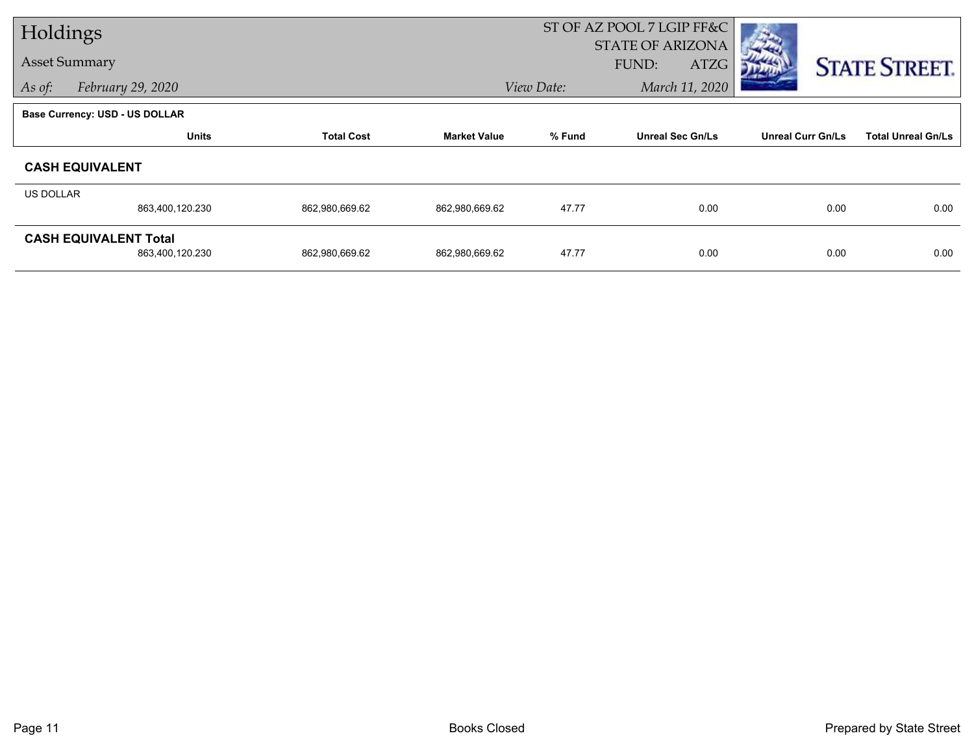| Holdings  |                                |                   |                     |            | ST OF AZ POOL 7 LGIP FF&C |                          |                           |
|-----------|--------------------------------|-------------------|---------------------|------------|---------------------------|--------------------------|---------------------------|
|           | <b>Asset Summary</b>           |                   |                     |            | <b>STATE OF ARIZONA</b>   |                          |                           |
|           |                                |                   |                     |            | FUND:<br>ATZG             |                          | <b>STATE STREET.</b>      |
| As of:    | February 29, 2020              |                   |                     | View Date: | March 11, 2020            |                          |                           |
|           | Base Currency: USD - US DOLLAR |                   |                     |            |                           |                          |                           |
|           | <b>Units</b>                   | <b>Total Cost</b> | <b>Market Value</b> | % Fund     | <b>Unreal Sec Gn/Ls</b>   | <b>Unreal Curr Gn/Ls</b> | <b>Total Unreal Gn/Ls</b> |
|           | <b>CASH EQUIVALENT</b>         |                   |                     |            |                           |                          |                           |
| US DOLLAR |                                |                   |                     |            |                           |                          |                           |
|           | 863,400,120.230                | 862,980,669.62    | 862,980,669.62      | 47.77      | 0.00                      | 0.00                     | 0.00                      |
|           | <b>CASH EQUIVALENT Total</b>   |                   |                     |            |                           |                          |                           |
|           | 863,400,120.230                | 862,980,669.62    | 862,980,669.62      | 47.77      | 0.00                      | 0.00                     | 0.00                      |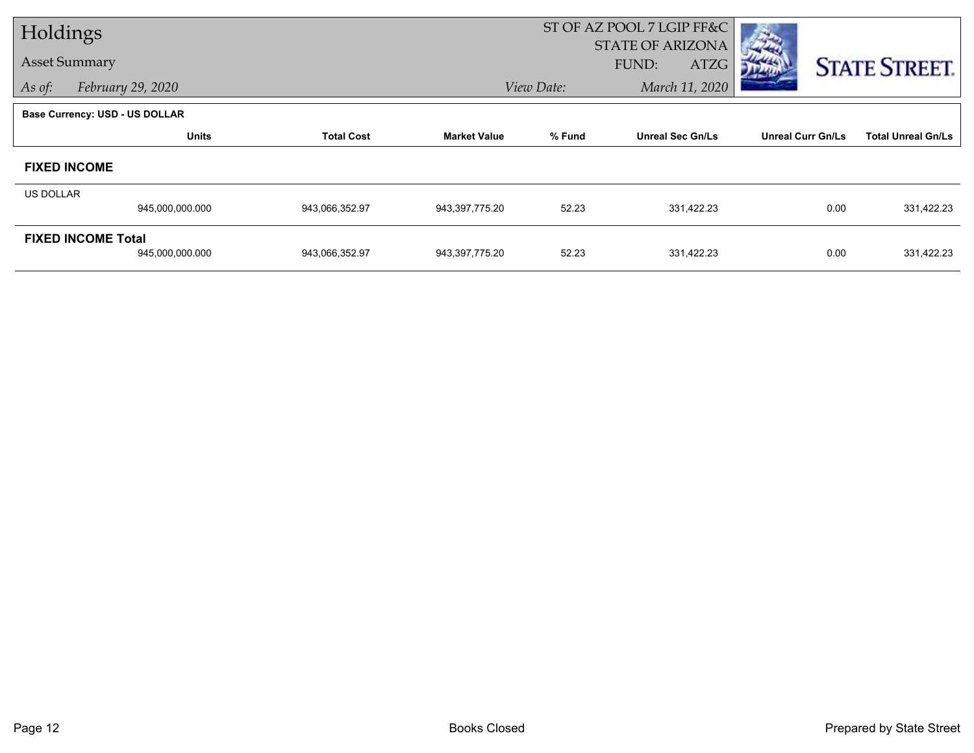| Holdings         |                                       |                   |                     |            | ST OF AZ POOL 7 LGIP FF&C                |                          |                           |
|------------------|---------------------------------------|-------------------|---------------------|------------|------------------------------------------|--------------------------|---------------------------|
|                  | <b>Asset Summary</b>                  |                   |                     |            | <b>STATE OF ARIZONA</b><br>FUND:<br>ATZG |                          | <b>STATE STREET.</b>      |
| As of:           | February 29, 2020                     |                   |                     | View Date: | March 11, 2020                           |                          |                           |
|                  | <b>Base Currency: USD - US DOLLAR</b> |                   |                     |            |                                          |                          |                           |
|                  | <b>Units</b>                          | <b>Total Cost</b> | <b>Market Value</b> | % Fund     | <b>Unreal Sec Gn/Ls</b>                  | <b>Unreal Curr Gn/Ls</b> | <b>Total Unreal Gn/Ls</b> |
|                  | <b>FIXED INCOME</b>                   |                   |                     |            |                                          |                          |                           |
| <b>US DOLLAR</b> |                                       |                   |                     |            |                                          |                          |                           |
|                  | 945,000,000.000                       | 943,066,352.97    | 943,397,775.20      | 52.23      | 331,422.23                               | 0.00                     | 331,422.23                |
|                  | <b>FIXED INCOME Total</b>             |                   |                     |            |                                          |                          |                           |
|                  | 945,000,000.000                       | 943,066,352.97    | 943,397,775.20      | 52.23      | 331,422.23                               | 0.00                     | 331,422.23                |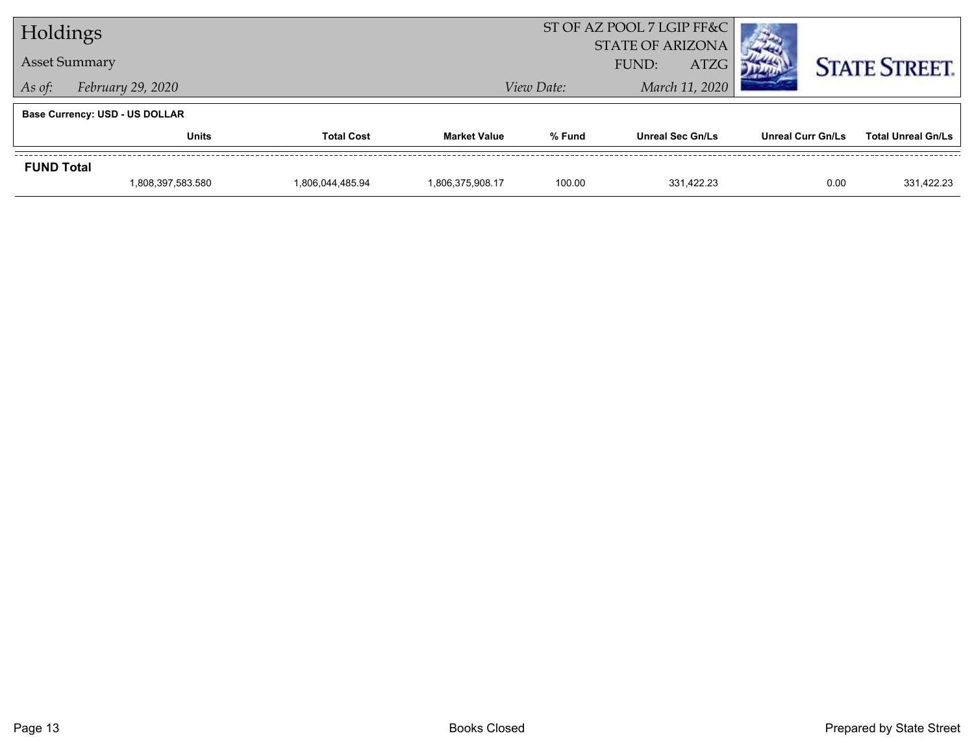| Holdings             |                                       |                   | ST OF AZ POOL 7 LGIP FF&C |                      |                         |                          |                           |  |
|----------------------|---------------------------------------|-------------------|---------------------------|----------------------|-------------------------|--------------------------|---------------------------|--|
|                      |                                       |                   | <b>STATE OF ARIZONA</b>   |                      |                         |                          |                           |  |
| <b>Asset Summary</b> |                                       |                   |                           | <b>ATZG</b><br>FUND: |                         |                          | <b>STATE STREET.</b>      |  |
| As of:               | February 29, 2020                     |                   |                           | View Date:           |                         | March 11, 2020           |                           |  |
|                      | <b>Base Currency: USD - US DOLLAR</b> |                   |                           |                      |                         |                          |                           |  |
|                      | Units                                 | <b>Total Cost</b> | <b>Market Value</b>       | % Fund               | <b>Unreal Sec Gn/Ls</b> | <b>Unreal Curr Gn/Ls</b> | <b>Total Unreal Gn/Ls</b> |  |
| <b>FUND Total</b>    |                                       |                   |                           |                      |                         |                          |                           |  |
|                      | 1,808,397,583.580                     | 1,806,044,485.94  | 1,806,375,908.17          | 100.00               | 331.422.23              | 0.00                     | 331.422.23                |  |